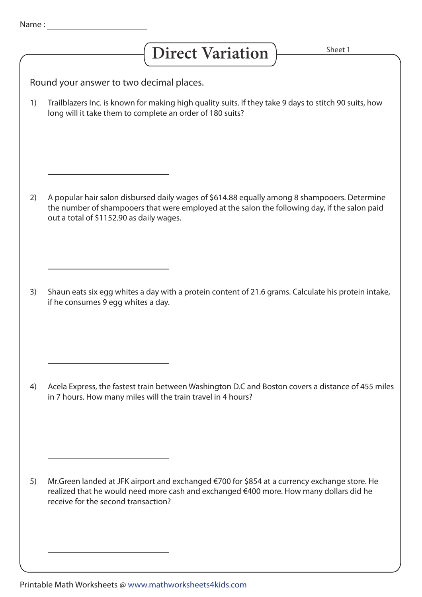## Direct Variation **Find Sheet 1**

Round your answer to two decimal places.

Trailblazers Inc. is known for making high quality suits. If they take 9 days to stitch 90 suits, how long will it take them to complete an order of 180 suits? 1)

A popular hair salon disbursed daily wages of \$614.88 equally among 8 shampooers. Determine the number of shampooers that were employed at the salon the following day, if the salon paid out a total of \$1152.90 as daily wages. 2)

Shaun eats six egg whites a day with a protein content of 21.6 grams. Calculate his protein intake, if he consumes 9 egg whites a day. 3)

Acela Express, the fastest train between Washington D.C and Boston covers a distance of 455 miles in 7 hours. How many miles will the train travel in 4 hours? 4)

Mr.Green landed at JFK airport and exchanged €700 for \$854 at a currency exchange store. He realized that he would need more cash and exchanged €400 more. How many dollars did he receive for the second transaction? 5)